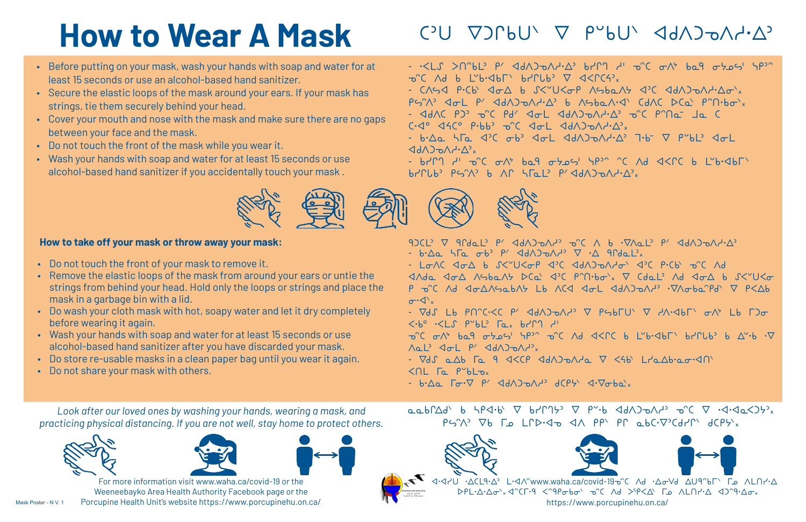- Before putting on your mask, wash your hands with soap and water for at least 15 seconds or use an alcohol-based hand sanitizer.
- Secure the elastic loops of the mask around your ears. If your mask has strings, tie them securely behind your head.
- • Cover your mouth and nose with the mask and make sure there are no gaps between your face and the mask.
- • Do not touch the front of the mask while you wear it.
- Wash your hands with soap and water for at least 15 seconds or use alcohol-based hand sanitizer if you accidentally touch your mask .



Mask Poster - N V. 1





## **How to Wear A Mask**

*Look after our loved ones by washing your hands, wearing a mask, and practicing physical distancing. If you are not well, stay home to protect others.*



For more information visit www.waha.ca/covid-19 or the Weeneebayko Area Health Authority Facebook page or the Porcupine Health Unit's website https://www.porcupinehu.on.ca/  $\alpha \alpha b \Delta d' b b b^2 d b b \nabla b d'$  $P$ S'A'  $\nabla$ b  $\Gamma$  LPD. Jo  $\Delta$ A  $PP'$  PP abC.  $\nabla$  CdPI dCPS x







 $-2.5$   $\leq$   $\lfloor 1.3$   $\rfloor$   $\leq$   $\lfloor 1.3$   $\rfloor$   $\lfloor 1.3$   $\rfloor$   $\lfloor 1.3$   $\rfloor$   $\lfloor 1.3$   $\rfloor$   $\lfloor 1.3$   $\rfloor$   $\lfloor 1.3$   $\rfloor$   $\lfloor 1.3$   $\rfloor$   $\lfloor 1.3$   $\rfloor$   $\lfloor 1.3$   $\rfloor$   $\lfloor 1.3$   $\rfloor$   $\lfloor 1.3$   $\rfloor$   $\lfloor 1.3$   $\neg^{\circ}C$  Ad b L"b $\neg$ db $\Gamma$  br $\Gamma$ Ub $\neg$   $\nabla$   $\triangleleft$ - CASA P.Cb<sup>\</sup> Aos b S<"U<op Asbast APC Adsonistan.  $PS'A$ <sup>2</sup>  $\varphi$   $\varphi$   $\varphi$   $\varphi$   $\varphi$   $\varphi$   $\varphi$   $\varphi$   $\varphi$   $\varphi$   $\varphi$   $\varphi$   $\varphi$   $\varphi$   $\varphi$   $\varphi$   $\varphi$   $\varphi$   $\varphi$   $\varphi$   $\varphi$   $\varphi$   $\varphi$   $\varphi$   $\varphi$   $\varphi$   $\varphi$   $\varphi$   $\varphi$   $\varphi$   $\varphi$   $\varphi$   $\varphi$   $\varphi$   $\varphi$   $\$ - GAAC PJ' O'C Pd' Jol Jah) DAY.A' O'C P'No- Ja C  $C\cdot Q^{\circ}$   $\triangleleft AC^{\circ}$   $P\cdot bb^{\circ}$   $\triangleleft C$   $\triangleleft D^{\circ}$   $\triangleleft d\wedge D^{\circ}D^{\circ}A^{\circ}b^{\circ}A^{\circ}$  $-b \Delta a$   $\Delta \Gamma a$   $\Delta C$   $\sigma b$   $\Delta \sigma L$   $\Delta d \Delta D \sigma \Delta A \cdot \Delta^2$   $\Delta b^2$   $\nabla$   $\rho^{\circ} b L^2$   $\Delta \sigma L$  $\langle A_{\mathsf{A}} \rangle$ 

- brn r' o'c ont bal otos' ypen en al aspe l'bisbre  $b$ 





- L<del>o</del>nc don b S<"U<op d'C ddn)phdo' d'C p·Cb p^C nd P O'C Ad Joansabas Lb ACJ Jol JdAJoan<sup>,</sup> 'Vaoba'Pd' V P<Ab

- P·V 7LU QP, b、<br />
1995) - P·V 7LU QP, b、<br />
1997) - P·V 7LU QP, b、<br />
1997) - P·V 7LU QP, b、<br />
1997) - P·V 7LU QP, b、<br />
1997) - P·V 7LU QP, b、<br />
1997) - P·V 7HV) - A

## $CD$   $CD$   $CD$   $CD$   $D'$   $D''$   $D''$   $CD'$   $AD$   $D^0$

#### **How to take off your mask or throw away your mask:**

- • Do not touch the front of your mask to remove it.
- • Remove the elastic loops of the mask from around your ears or untie the strings from behind your head. Hold only the loops or strings and place the mask in a garbage bin with a lid.
- Do wash your cloth mask with hot, soapy water and let it dry completely before wearing it again.
- Wash your hands with soap and water for at least 15 seconds or use alcohol-based hand sanitizer after you have discarded your mask.
- • Do store re-usable masks in a clean paper bag until you wear it again.
- • Do not share your mask with others.

 $\sigma \cdot \langle \cdot \rangle_x$ - VdS Lb PN^C·<C P' <dA)@Ad' V PSbFU` V dA·<dbl` &A' Lb F)@  $\langle \cdot b^{\circ} \cdot \langle L \rangle \cap P^{\circ} b L^{\circ}$  [ex bring div  $\neg^{\circ}C$   $\neg \wedge^{\circ}$   $\neg^{\circ}Q$   $\neg^{\circ}Q$   $\neg^{\circ}Q$   $\neg^{\circ}C$   $\neg^{\circ}Q$   $\wedge$   $\wedge^{\circ}C$   $\neg^{\circ}C$   $\neg^{\circ}C$   $\neg^{\circ}C$   $\neg^{\circ}C$   $\neg^{\circ}C$   $\neg^{\circ}C$   $\neg^{\circ}C$   $\neg^{\circ}C$   $\neg^{\circ}C$   $\neg^{\circ}C$   $\neg^{\circ}C$   $\neg^{\circ}C$   $\neg^{\circ}C$   $\n$ 

Nal' Jol P' JdAJOAN',

- Vds alb Fa 9 J<CP JdAJoAla V <4b Llalb.ao.<10  $\triangle$ nt  $\Gamma_{\alpha}$  p $\triangle$ blox

 $-b \cdot \Delta a$   $\Gamma \sigma \cdot \nabla \rho'$   $\Delta d \wedge \Delta \sigma \wedge d'$   $d \in P$   $\Delta \cdot \nabla \sigma b a$   $x$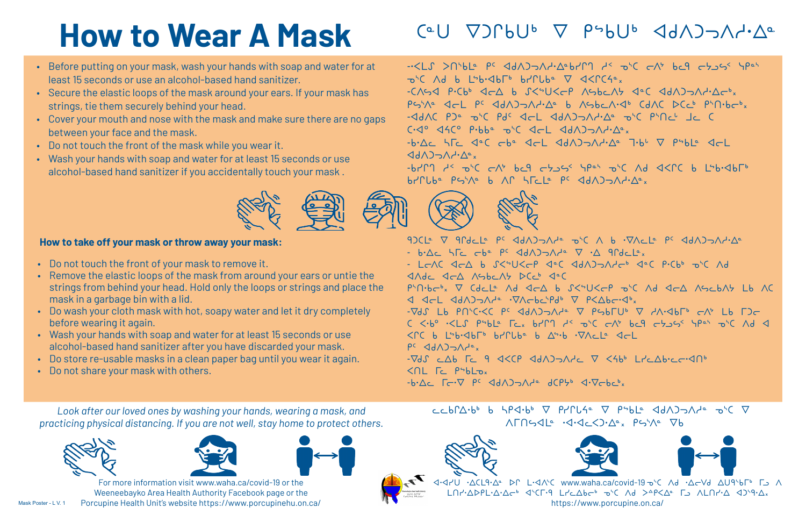- Before putting on your mask, wash your hands with soap and water for at least 15 seconds or use an alcohol-based hand sanitizer.
- Secure the elastic loops of the mask around your ears. If your mask has strings, tie them securely behind your head.
- • Cover your mouth and nose with the mask and make sure there are no gaps between your face and the mask.
- • Do not touch the front of the mask while you wear it.
- Wash your hands with soap and water for at least 15 seconds or use alcohol-based hand sanitizer if you accidentally touch your mask .



$$
\begin{array}{ll}\n\bigotimes A^{\circ}x & P\hookrightarrow^{\wedge}A^{\circ} & \nabla b \\
\hline\n\bigotimes A^{\circ}x & P\hookrightarrow^{\wedge}A^{\circ} & \nabla b \\
\hline\n\bigotimes A^{\circ}x & \nabla b\n\end{array}
$$
\n
$$
\begin{array}{ll}\n\bigotimes A^{\circ}x & \nabla b \\
\hline\n\bigotimes A^{\circ}x & \nabla b\n\end{array}
$$
\n
$$
\begin{array}{ll}\n\bigotimes A^{\circ}x & \nabla b \\
\hline\n\bigotimes A^{\circ}x & \nabla b\n\end{array}
$$
\n
$$
\begin{array}{ll}\n\bigotimes A^{\circ}x & \nabla b \\
\hline\n\bigotimes A^{\circ}x & \nabla b\n\end{array}
$$
\n
$$
\begin{array}{ll}\n\bigotimes A^{\circ}x & \nabla b \\
\hline\n\bigotimes A^{\circ}x & \nabla b\n\end{array}
$$

$$
C_{A^c}^{\text{C}} = C_{A^c}^{\text{C}} \quad \text{and} \quad C_{A^c}^{\text{C}} = C_{A^c}^{\text{C}} \quad \text{and} \quad C_{A^c}^{\text{C}} = C_{A^c}^{\text{C}} \quad \text{and} \quad C_{A^c}^{\text{C}} = C_{A^c}^{\text{C}} \quad \text{and} \quad C_{A^c}^{\text{C}} = C_{A^c}^{\text{C}} \quad \text{and} \quad C_{A^c}^{\text{C}} = C_{A^c}^{\text{C}} \quad \text{and} \quad C_{A^c}^{\text{C}} = C_{A^c}^{\text{C}} \quad \text{and} \quad C_{A^c}^{\text{C}} = C_{A^c}^{\text{C}} \quad \text{and} \quad C_{A^c}^{\text{C}} = C_{A^c}^{\text{C}} \quad \text{and} \quad C_{A^c}^{\text{C}} = C_{A^c}^{\text{C}} \quad \text{and} \quad C_{A^c}^{\text{C}} = C_{A^c}^{\text{C}} \quad \text{and} \quad C_{A^c}^{\text{C}} = C_{A^c}^{\text{C}} \quad \text{and} \quad C_{A^c}^{\text{C}} = C_{A^c}^{\text{C}} \quad \text{and} \quad C_{A^c}^{\text{C}} = C_{A^c}^{\text{C}} \quad \text{and} \quad C_{A^c}^{\text{C}} = C_{A^c}^{\text{C}} \quad \text{and} \quad C_{A^c}^{\text{C}} = C_{A^c}^{\text{C}} \quad \text{and} \quad C_{A^c}^{\text{C}} = C_{A^c}^{\text{C}} \quad \text{and} \quad C_{A^c}^{\text{C}} = C_{A^c}^{\text{C}} \quad \text{and} \quad C_{A^c}^{\text{C}} = C_{A^c}^{\text{C}} \quad \text{and} \quad C_{A^c}^{\text{C}} = C_{A^c}^{\text{C}} \quad \text{and} \quad C_{A^c}^{\text{C}} = C_{A^c}^{\text{C}} \quad \text{and} \quad C_{A^c}^{\text{C}} = C_{A^c}^{\text{C}} \quad \text{and} \quad C_{A^c}^{\text{C
$$

## $C^{\alpha}U$   $\nabla$ ) $\Gamma$ bU<sup>b</sup>  $\nabla$   $\rho$ sbU<sup>b</sup>  $\triangleleft$ d $\wedge$ ) $\neg$  $\wedge$ d· $\triangle^{\alpha}$

## **How to Wear A Mask**

*Look after our loved ones by washing your hands, wearing a mask, and practicing physical distancing. If you are not well, stay home to protect others.*





For more information visit www.waha.ca/covid-19 or the Weeneebayko Area Health Authority Facebook page or the Porcupine Health Unit's website https://www.porcupinehu.on.ca/  $C \subset b \cap \Delta \cdot b^b$  b  $\Delta P \triangleleft \cdot b^b$   $\nabla$   $P \cap C \triangleleft \cdot \nabla$   $P \triangleleft \cdot b^c$   $\Delta$   $\Delta$  $\Lambda \Gamma \Gamma$ 944  $\cdot$ 





.∆CL9.∆ DC L.<I^C www.wah https://ww

 $-$ b۲۲۹  $A^5$   $\sigma^5C$   $\sigma^4$  bc9  $\sigma^5\sigma^5$   $\sigma^6C$   $\sigma^6C$   $\sigma^6C$  b  $L^5$ b $\sigma^6$ 





9) CLO V 9 PdcLo PC <BA) JAPO JC A b .VACLO PC <BA) JAPA2 - b.Ac  $\overline{AC}$  cb<sup>a</sup>  $\overline{PC}$  dd $\overline{AD}$ - LEAC JEA b SKSUKEP JCC JdAJSAHE<sup>6</sup> JCC P.Cb6 DSC Ad  $\triangleleft$   $\triangleleft$   $\triangleleft$   $\triangleleft$   $\triangleleft$   $\triangleleft$   $\triangleleft$   $\triangleleft$   $\triangleleft$   $\triangleleft$   $\triangleleft$   $\triangleleft$   $\triangleleft$   $\triangleleft$   $\triangleleft$   $\triangleleft$   $\triangleleft$   $\triangleleft$   $\triangleleft$   $\triangleleft$   $\triangleleft$   $\triangleleft$   $\triangleleft$   $\triangleleft$   $\triangleleft$   $\triangleleft$   $\triangleleft$   $\triangleleft$   $\triangleleft$   $\triangleleft$   $\triangleleft$   $\triangleleft$   $\triangleleft$   $\triangleleft$   $\triangleleft$   $\triangleleft$   $\triangleleft$ P'N.bc', V Cdclº Ad <d b S<'U<cP o'C Ad <d AscbAt Lb AC I IcL IdAJ¬Ada .VAcbcSPdb V P<∆bc.Ibx  $-\nabla d$  $S$  Lb  $P\cap C\cdot\leq C$  PC  $\triangleleft d\wedge D\Rightarrow\wedge d^{\circ}$   $\nabla$   $P\leftrightarrow\Gamma\cup\Gamma$   $\nabla$   $\angle A\cdot\triangleleft b\Gamma$   $\Rightarrow$   $\wedge$  Lb  $\Gamma$ ) $\leftarrow$  $C \le b^{\circ}$  .<LS psbLe  $T_{C_{X}}$  brn  $A^{<}$   $D^{<}C$  c $A^{*}$  bcl c $B_{Z}$  ss spen  $D^{<}C$  Ad  $D^{<}C$  $\langle \cap C$  b LSb.<lb $\Gamma$ b br $\cap$ Uba b  $\Delta$ S.b  $\cdot \nabla \wedge C$ La <lc  $P^c$   $\triangleleft$ d $\triangle$ ) $\supset \bigwedge P^{\alpha}$ x  $-7dS$  cab Fc 9  $45CP$  ada) the  $\nabla$  sabble  $L^2$ cabic  $dP$ 

### **How to take off your mask or throw away your mask:**

- • Do not touch the front of your mask to remove it.
- • Remove the elastic loops of the mask from around your ears or untie the strings from behind your head. Hold only the loops or strings and place the mask in a garbage bin with a lid.
- Do wash your cloth mask with hot, soapy water and let it dry completely before wearing it again.
- Wash your hands with soap and water for at least 15 seconds or use alcohol-based hand sanitizer after you have discarded your mask.
- • Do store re-usable masks in a clean paper bag until you wear it again.
- • Do not share your mask with others.

-.<LS > NbLe PC <dA) > Ad-Ad-Ad-Brn ds and changed and and then  $\neg$ <sup>5</sup>C Ad b LSb.<db $\Gamma$ b br $\Gamma$ Uba  $\nabla$  <d  $-C$  $\wedge$ *S* $\triangle$   $P\cdot$  $C$  $b$ <sup>6</sup>  $\triangleleft$  $C\triangle$   $b$   $S$  $\lt$  $\simeq$ U $\lt$  $C$  $P$   $\wedge$ c PS'Aº <cL PC <dA)>A/-Aº b AC  $-4dAC$  P) $^{\circ}$  o'c Pdc  $4cL$   $4d\Lambda$ ) $\rightarrow$  $C\cdot d^{\circ}$   $\triangleleft AC^{\circ}$   $P\cdot bb^{\circ}$   $\triangleright C$   $\triangleleft C\cdot L$   $\triangleleft d\wedge D$  $-b \Delta c$   $\Delta \Gamma c$   $\Delta^{\circ}C$   $\sigma b^{\circ}$   $\Delta c$   $\Delta d\Delta$  $\Delta \Delta \Delta b^{\circ} \Delta^{\circ}$   $\Delta b^{\circ}$   $\nabla$   $\rho^{\circ}b$   $c$   $\Delta c$   $\Delta c$  $\langle \langle \langle \rangle \rangle \langle \rangle \langle \rangle \langle \rangle \langle \rangle \langle \rangle$ 

 $-b \cdot \Delta c$   $\Gamma$   $\subset \nabla$   $\rho$   $\in$   $\triangleleft$   $d \wedge$   $\triangleleft$   $\triangleleft$   $\wedge$   $\vee$   $\varphi$   $\sim$   $\Delta$   $\sim$   $\Delta$   $\sim$   $\Delta$   $\sim$   $\Delta$   $\sim$   $\Delta$   $\sim$   $\Delta$   $\sim$   $\Delta$   $\sim$   $\Delta$   $\sim$   $\Delta$   $\sim$   $\Delta$   $\sim$   $\Delta$   $\sim$   $\Delta$   $\sim$   $\Delta$   $\sim$   $\Delta$   $\sim$